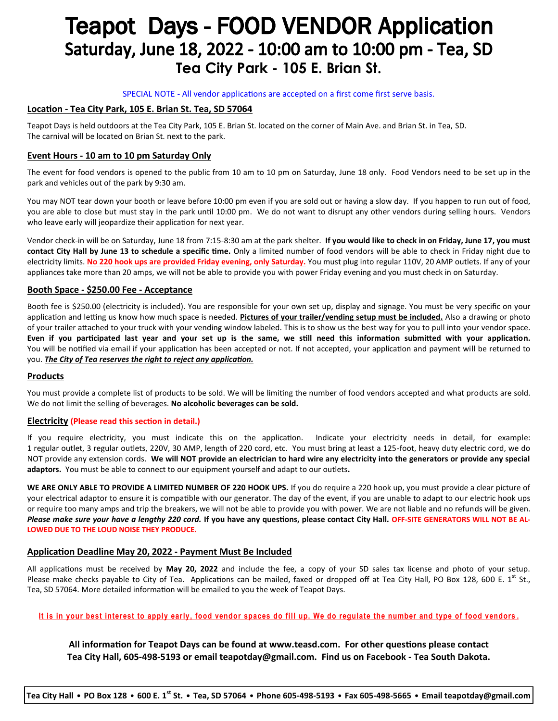# **Teapot Days - FOOD VENDOR Application** Saturday, June 18, 2022 - 10:00 am to 10:00 pm - Tea, SD **Tea City Park - 105 E. Brian St.**

#### SPECIAL NOTE - All vendor applications are accepted on a first come first serve basis.

#### **Location - Tea City Park, 105 E. Brian St. Tea, SD 57064**

Teapot Days is held outdoors at the Tea City Park, 105 E. Brian St. located on the corner of Main Ave. and Brian St. in Tea, SD. The carnival will be located on Brian St. next to the park.

#### **Event Hours - 10 am to 10 pm Saturday Only**

The event for food vendors is opened to the public from 10 am to 10 pm on Saturday, June 18 only. Food Vendors need to be set up in the park and vehicles out of the park by 9:30 am.

You may NOT tear down your booth or leave before 10:00 pm even if you are sold out or having a slow day. If you happen to run out of food, you are able to close but must stay in the park until 10:00 pm. We do not want to disrupt any other vendors during selling hours. Vendors who leave early will jeopardize their application for next year.

Vendor check-in will be on Saturday, June 18 from 7:15-8:30 am at the park shelter. **If you would like to check in on Friday, June 17, you must contact City Hall by June 13 to schedule a specific time.** Only a limited number of food vendors will be able to check in Friday night due to electricity limits. **No 220 hook ups are provided Friday evening, only Saturday.** You must plug into regular 110V, 20 AMP outlets. If any of your appliances take more than 20 amps, we will not be able to provide you with power Friday evening and you must check in on Saturday.

#### **Booth Space - \$250.00 Fee - Acceptance**

Booth fee is \$250.00 (electricity is included). You are responsible for your own set up, display and signage. You must be very specific on your application and letting us know how much space is needed. **Pictures of your trailer/vending setup must be included.** Also a drawing or photo of your trailer attached to your truck with your vending window labeled. This is to show us the best way for you to pull into your vendor space. **Even if you participated last year and your set up is the same, we still need this information submitted with your application.** You will be notified via email if your application has been accepted or not. If not accepted, your application and payment will be returned to you. *The City of Tea reserves the right to reject any application.* 

#### **Products**

You must provide a complete list of products to be sold. We will be limiting the number of food vendors accepted and what products are sold. We do not limit the selling of beverages. **No alcoholic beverages can be sold.**

#### **Electricity (Please read this section in detail.)**

If you require electricity, you must indicate this on the application. Indicate your electricity needs in detail, for example: 1 regular outlet, 3 regular outlets, 220V, 30 AMP, length of 220 cord, etc. You must bring at least a 125-foot, heavy duty electric cord, we do NOT provide any extension cords. **We will NOT provide an electrician to hard wire any electricity into the generators or provide any special adaptors.** You must be able to connect to our equipment yourself and adapt to our outlets**.** 

**WE ARE ONLY ABLE TO PROVIDE A LIMITED NUMBER OF 220 HOOK UPS.** If you do require a 220 hook up, you must provide a clear picture of your electrical adaptor to ensure it is compatible with our generator. The day of the event, if you are unable to adapt to our electric hook ups or require too many amps and trip the breakers, we will not be able to provide you with power. We are not liable and no refunds will be given. *Please make sure your have a lengthy 220 cord.* **If you have any questions, please contact City Hall***.* **OFF-SITE GENERATORS WILL NOT BE AL-LOWED DUE TO THE LOUD NOISE THEY PRODUCE.** 

#### **Application Deadline May 20, 2022 - Payment Must Be Included**

All applications must be received by **May 20, 2022** and include the fee, a copy of your SD sales tax license and photo of your setup. Please make checks payable to City of Tea. Applications can be mailed, faxed or dropped off at Tea City Hall, PO Box 128, 600 E.  $1^{st}$  St., Tea, SD 57064. More detailed information will be emailed to you the week of Teapot Days.

**It is in your best interest to apply early, food vendor spaces do fill up. We do regulate the number and type of food vendors .**

**All information for Teapot Days can be found at www.teasd.com. For other questions please contact Tea City Hall, 605-498-5193 or email [teapotday@gmail.com.](mailto:cityoftea2@iw.net) Find us on Facebook - Tea South Dakota.**